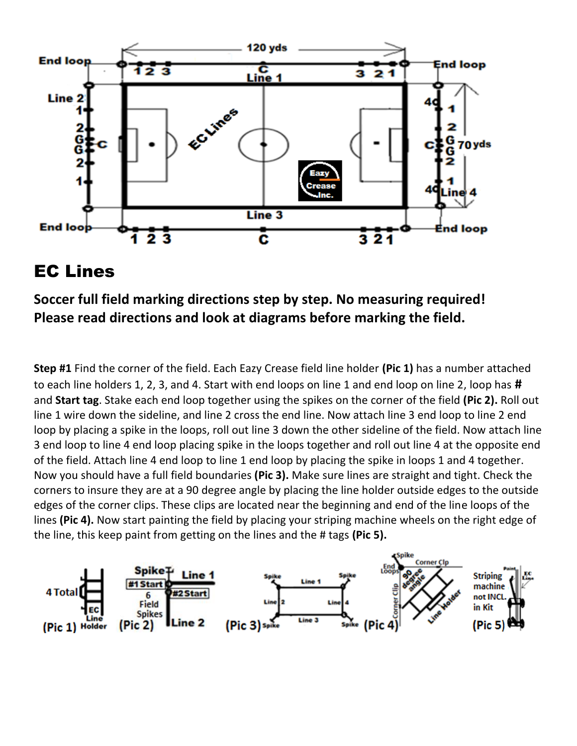

## EC Lines

**Soccer full field marking directions step by step. No measuring required! Please read directions and look at diagrams before marking the field.**

**Step #1** Find the corner of the field. Each Eazy Crease field line holder **(Pic 1)** has a number attached to each line holders 1, 2, 3, and 4. Start with end loops on line 1 and end loop on line 2, loop has **#** and **Start tag**. Stake each end loop together using the spikes on the corner of the field **(Pic 2).** Roll out line 1 wire down the sideline, and line 2 cross the end line. Now attach line 3 end loop to line 2 end loop by placing a spike in the loops, roll out line 3 down the other sideline of the field. Now attach line 3 end loop to line 4 end loop placing spike in the loops together and roll out line 4 at the opposite end of the field. Attach line 4 end loop to line 1 end loop by placing the spike in loops 1 and 4 together. Now you should have a full field boundaries **(Pic 3).** Make sure lines are straight and tight. Check the corners to insure they are at a 90 degree angle by placing the line holder outside edges to the outside edges of the corner clips. These clips are located near the beginning and end of the line loops of the lines **(Pic 4).** Now start painting the field by placing your striping machine wheels on the right edge of the line, this keep paint from getting on the lines and the # tags **(Pic 5).**

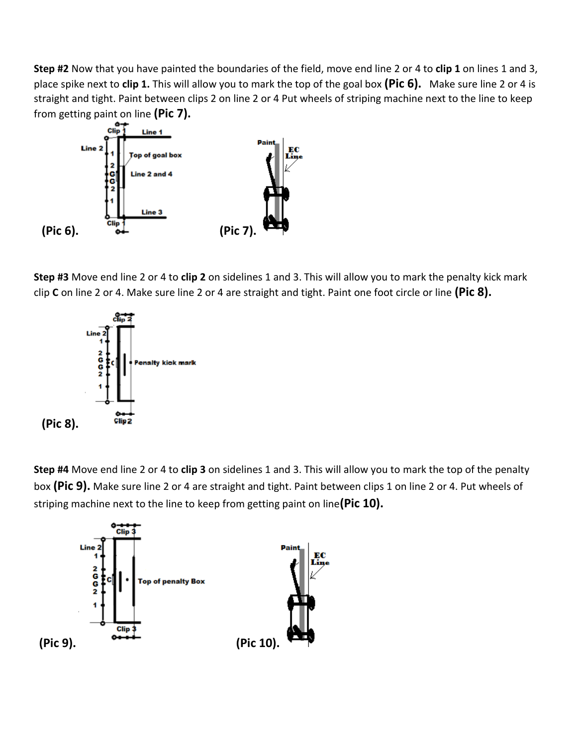**Step #2** Now that you have painted the boundaries of the field, move end line 2 or 4 to **clip 1** on lines 1 and 3, place spike next to **clip 1.** This will allow you to mark the top of the goal box **(Pic 6).** Make sure line 2 or 4 is straight and tight. Paint between clips 2 on line 2 or 4 Put wheels of striping machine next to the line to keep from getting paint on line **(Pic 7).**



**Step #3** Move end line 2 or 4 to **clip 2** on sidelines 1 and 3. This will allow you to mark the penalty kick mark clip **C** on line 2 or 4. Make sure line 2 or 4 are straight and tight. Paint one foot circle or line **(Pic 8).**



**Step #4** Move end line 2 or 4 to **clip 3** on sidelines 1 and 3. This will allow you to mark the top of the penalty box **(Pic 9).** Make sure line 2 or 4 are straight and tight. Paint between clips 1 on line 2 or 4. Put wheels of striping machine next to the line to keep from getting paint on line**(Pic 10).**

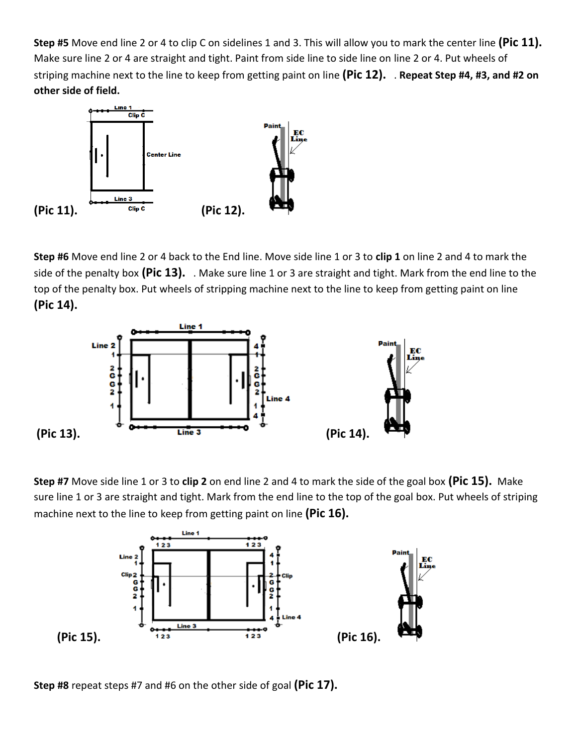**Step #5** Move end line 2 or 4 to clip C on sidelines 1 and 3. This will allow you to mark the center line **(Pic 11).** Make sure line 2 or 4 are straight and tight. Paint from side line to side line on line 2 or 4. Put wheels of striping machine next to the line to keep from getting paint on line **(Pic 12).** . **Repeat Step #4, #3, and #2 on other side of field.**



**Step #6** Move end line 2 or 4 back to the End line. Move side line 1 or 3 to **clip 1** on line 2 and 4 to mark the side of the penalty box **(Pic 13).** . Make sure line 1 or 3 are straight and tight. Mark from the end line to the top of the penalty box. Put wheels of stripping machine next to the line to keep from getting paint on line **(Pic 14).**



**Step #7** Move side line 1 or 3 to **clip 2** on end line 2 and 4 to mark the side of the goal box **(Pic 15).** Make sure line 1 or 3 are straight and tight. Mark from the end line to the top of the goal box. Put wheels of striping machine next to the line to keep from getting paint on line **(Pic 16).**



**Step #8** repeat steps #7 and #6 on the other side of goal **(Pic 17).**